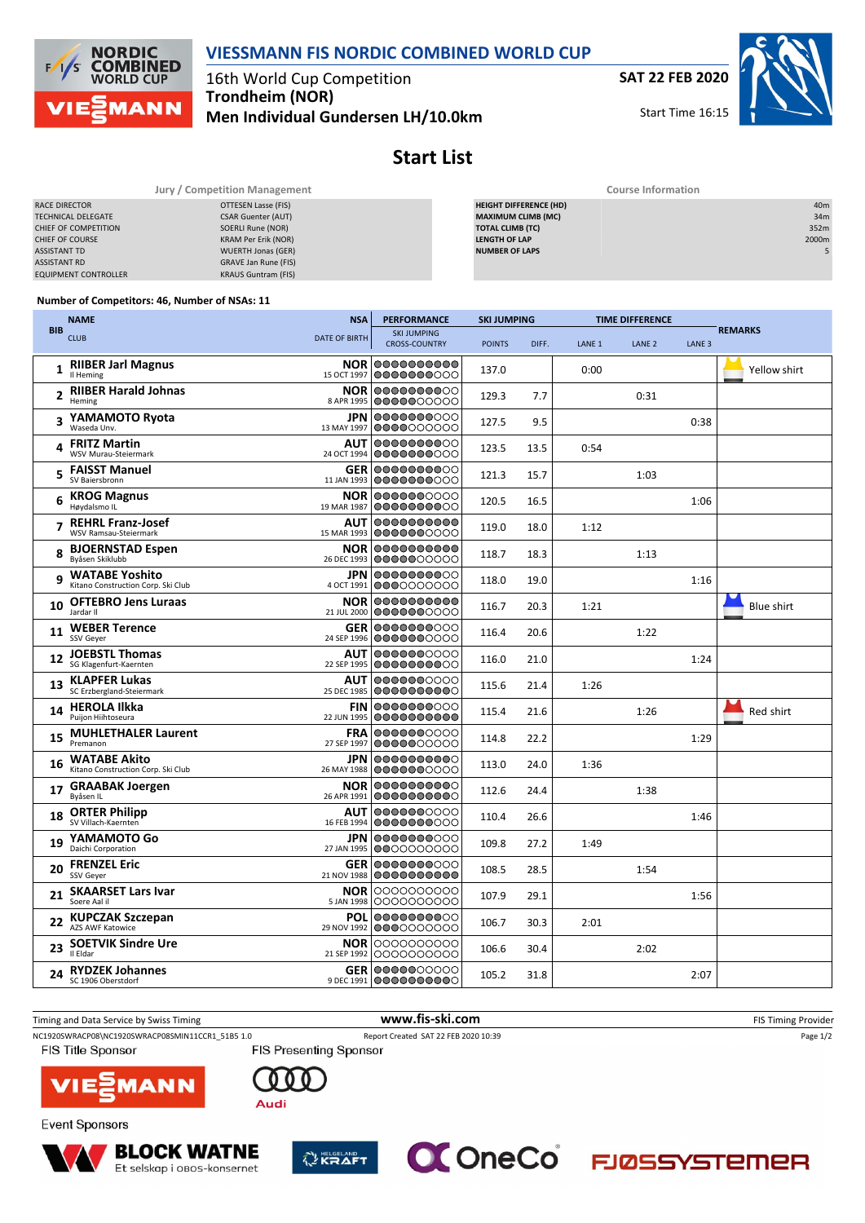**VIESSMANN FIS NORDIC COMBINED WORLD CUP**

**NORDIC COMBINED**<br>WORLD CUP  $F_{2}$ **MANN** 

16th World Cup Competition **Trondheim (NOR) Men Individual Gundersen LH/10.0km** **SAT 22 FEB 2020**

Start Time 16:15



## **Start List**

|                             | Jury / Competition Management | <b>Course Information</b>     |                 |  |  |  |  |
|-----------------------------|-------------------------------|-------------------------------|-----------------|--|--|--|--|
| RACE DIRECTOR               | OTTESEN Lasse (FIS)           | <b>HEIGHT DIFFERENCE (HD)</b> | 40 <sub>m</sub> |  |  |  |  |
| <b>TECHNICAL DELEGATE</b>   | <b>CSAR Guenter (AUT)</b>     | <b>MAXIMUM CLIMB (MC)</b>     | 34m             |  |  |  |  |
| CHIEF OF COMPETITION        | SOERLI Rune (NOR)             | <b>TOTAL CLIMB (TC)</b>       | 352m            |  |  |  |  |
| <b>CHIEF OF COURSE</b>      | KRAM Per Erik (NOR)           | <b>LENGTH OF LAP</b>          | 2000m           |  |  |  |  |
| <b>ASSISTANT TD</b>         | <b>WUERTH Jonas (GER)</b>     | <b>NUMBER OF LAPS</b>         |                 |  |  |  |  |
| <b>ASSISTANT RD</b>         | GRAVE Jan Rune (FIS)          |                               |                 |  |  |  |  |
| <b>EQUIPMENT CONTROLLER</b> | <b>KRAUS Guntram (FIS)</b>    |                               |                 |  |  |  |  |

## **Number of Competitors: 46, Number of NSAs: 11**

|              | <b>NAME</b>                                                 | <b>NSA</b>                | <b>PERFORMANCE</b>                              | <b>SKI JUMPING</b> |       | <b>TIME DIFFERENCE</b> |                   |                   |                   |
|--------------|-------------------------------------------------------------|---------------------------|-------------------------------------------------|--------------------|-------|------------------------|-------------------|-------------------|-------------------|
| <b>BIB</b>   | <b>CLUB</b>                                                 | <b>DATE OF BIRTH</b>      | <b>SKI JUMPING</b><br><b>CROSS-COUNTRY</b>      | <b>POINTS</b>      | DIFF. | LANE <sub>1</sub>      | LANE <sub>2</sub> | LANE <sub>3</sub> | <b>REMARKS</b>    |
| $\mathbf{1}$ | <b>RIIBER Jarl Magnus</b><br>Il Heming                      |                           | <b>NOR 0000000000</b><br>15 OCT 1997 0000000000 | 137.0              |       | 0:00                   |                   |                   | Yellow shirt      |
|              | 2 RIIBER Harald Johnas<br>Heming                            | <b>NOR</b><br>8 APR 1995  | 1000000000<br>0000000000                        | 129.3              | 7.7   |                        | 0:31              |                   |                   |
| 3            | YAMAMOTO Ryota<br>Waseda Unv.                               | 13 MAY 1997               | <b>JPN 0000000000</b><br>0000000000             | 127.5              | 9.5   |                        |                   | 0:38              |                   |
| 4            | <b>FRITZ Martin</b><br>WSV Murau-Steiermark                 | 24 OCT 1994               | AUT 0000000000<br>0000000000                    | 123.5              | 13.5  | 0:54                   |                   |                   |                   |
| 5            | <b>FAISST Manuel</b><br>SV Baiersbronn                      |                           | <b>GER 0000000000</b><br>11 JAN 1993 0000000000 | 121.3              | 15.7  |                        | 1:03              |                   |                   |
| 6            | <b>KROG Magnus</b><br>Høydalsmo IL                          | 19 MAR 1987               | <b>NOR 0000000000</b><br> 0000000000            | 120.5              | 16.5  |                        |                   | 1:06              |                   |
|              | <b>REHRL Franz-Josef</b><br>WSV Ramsau-Steiermark           | <b>AUT</b><br>15 MAR 1993 | 0000000000<br>0000000000                        | 119.0              | 18.0  | 1:12                   |                   |                   |                   |
|              | <b>BJOERNSTAD Espen</b><br>Byåsen Skiklubb                  |                           | NOR 0000000000<br>26 DEC 1993 0000000000        | 118.7              | 18.3  |                        | 1:13              |                   |                   |
| 9            | <b>WATABE Yoshito</b><br>Kitano Construction Corp. Ski Club | JPN.<br>4 OCT 1991        | 0000000000<br>0000000000                        | 118.0              | 19.0  |                        |                   | 1:16              |                   |
| 10           | <b>OFTEBRO Jens Luraas</b><br>Jardar II                     | 21 JUL 2000               | <b>NOR 0000000000</b><br> 0000000000            | 116.7              | 20.3  | 1:21                   |                   |                   | <b>Blue shirt</b> |
| 11           | <b>WEBER Terence</b><br>SSV Geyer                           | 24 SEP 1996               | <b>GER 0000000000</b><br>0000000000             | 116.4              | 20.6  |                        | 1:22              |                   |                   |
| 12           | <b>JOEBSTL Thomas</b><br>SG Klagenfurt-Kaernten             | <b>AUT</b><br>22 SEP 1995 | 0000000000<br>0000000000                        | 116.0              | 21.0  |                        |                   | 1:24              |                   |
| 13           | <b>KLAPFER Lukas</b><br>SC Erzbergland-Steiermark           | <b>AUT</b><br>25 DEC 1985 | 0000000000<br>0000000000                        | 115.6              | 21.4  | 1:26                   |                   |                   |                   |
| 14           | <b>HEROLA Ilkka</b><br>Puijon Hiihtoseura                   |                           | <b>FIN 0000000000</b><br>22 JUN 1995 0000000000 | 115.4              | 21.6  |                        | 1:26              |                   | Red shirt         |
| 15           | <b>MUHLETHALER Laurent</b><br>Premanon                      | <b>FRA</b><br>27 SEP 1997 | 0000000000<br>0000000000                        | 114.8              | 22.2  |                        |                   | 1:29              |                   |
| 16           | <b>WATABE Akito</b><br>Kitano Construction Corp. Ski Club   | 26 MAY 1988               | <b>JPN 0000000000</b><br>0000000000             | 113.0              | 24.0  | 1:36                   |                   |                   |                   |
| 17           | <b>GRAABAK Joergen</b><br>Byåsen IL                         | 26 APR 1991               | <b>NOR 0000000000</b><br>0000000000             | 112.6              | 24.4  |                        | 1:38              |                   |                   |
| 18           | <b>ORTER Philipp</b><br>SV Villach-Kaernten                 | <b>AUT</b><br>16 FEB 1994 | 0000000000<br>0000000000                        | 110.4              | 26.6  |                        |                   | 1:46              |                   |
| 19           | YAMAMOTO Go<br>Daichi Corporation                           | 27 JAN 1995               | <b>JPN 0000000000</b><br>0000000000             | 109.8              | 27.2  | 1:49                   |                   |                   |                   |
| 20           | <b>FRENZEL Eric</b><br>SSV Geyer                            | 21 NOV 1988               | <b>GER 0000000000</b><br>0000000000             | 108.5              | 28.5  |                        | 1:54              |                   |                   |
| 21           | <b>SKAARSET Lars Ivar</b><br>Soere Aal il                   | 5 JAN 1998                | NOR 0000000000<br>0000000000                    | 107.9              | 29.1  |                        |                   | 1:56              |                   |
| 22           | <b>KUPCZAK Szczepan</b><br>AZS AWF Katowice                 | <b>POL</b><br>29 NOV 1992 | 0000000000<br>0000000000                        | 106.7              | 30.3  | 2:01                   |                   |                   |                   |
| 23           | <b>SOETVIK Sindre Ure</b><br>Il Eldar                       |                           | <b>NOR</b> 0000000000<br>21 SEP 1992 0000000000 | 106.6              | 30.4  |                        | 2:02              |                   |                   |
| 24           | <b>RYDZEK Johannes</b><br>SC 1906 Oberstdorf                |                           | <b>GER 0000000000</b><br>9 DEC 1991 0000000000  | 105.2              | 31.8  |                        |                   | 2:07              |                   |

Timing and Data Service by Swiss Timing **www.fis-ski.com www.fis-ski.com** FIS Timing Provider NC1920SWRACP08\NC1920SWRACP08SMIN11CCR1\_51B5 1.0 Report Created SAT 22 FEB 2020 10:39 Page 1/2<br>FIS Presenting Sponsor FIS Presenting Sponsor FIS Title Sponsor VIE 1AN N Audi